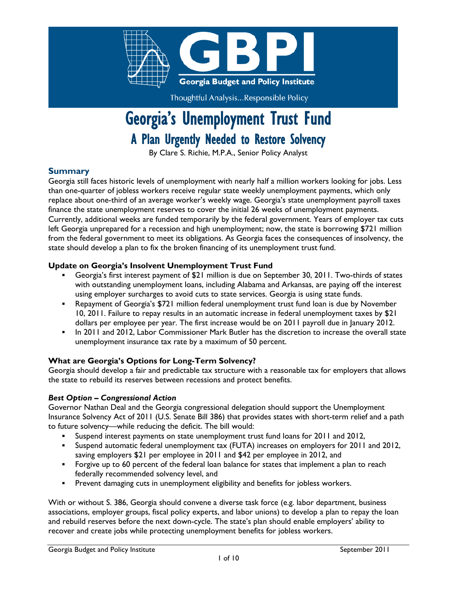

Thoughtful Analysis...Responsible Policy

# Georgia's Unemployment Trust Fund A Plan Urgently Needed to Restore Solvency

By Clare S. Richie, M.P.A., Senior Policy Analyst

#### **Summary**

Georgia still faces historic levels of unemployment with nearly half a million workers looking for jobs. Less than one-quarter of jobless workers receive regular state weekly unemployment payments, which only replace about one-third of an average worker's weekly wage. Georgia's state unemployment payroll taxes finance the state unemployment reserves to cover the initial 26 weeks of unemployment payments. Currently, additional weeks are funded temporarily by the federal government. Years of employer tax cuts left Georgia unprepared for a recession and high unemployment; now, the state is borrowing \$721 million from the federal government to meet its obligations. As Georgia faces the consequences of insolvency, the state should develop a plan to fix the broken financing of its unemployment trust fund.

#### **Update on Georgia's Insolvent Unemployment Trust Fund**

- Georgia's first interest payment of \$21 million is due on September 30, 2011. Two-thirds of states with outstanding unemployment loans, including Alabama and Arkansas, are paying off the interest using employer surcharges to avoid cuts to state services. Georgia is using state funds.
- Repayment of Georgia's \$721 million federal unemployment trust fund loan is due by November 10, 2011. Failure to repay results in an automatic increase in federal unemployment taxes by \$21 dollars per employee per year. The first increase would be on 2011 payroll due in January 2012.
- In 2011 and 2012, Labor Commissioner Mark Butler has the discretion to increase the overall state unemployment insurance tax rate by a maximum of 50 percent.

#### **What are Georgia's Options for Long-Term Solvency?**

Georgia should develop a fair and predictable tax structure with a reasonable tax for employers that allows the state to rebuild its reserves between recessions and protect benefits.

#### *Best Option – Congressional Action*

Governor Nathan Deal and the Georgia congressional delegation should support the Unemployment Insurance Solvency Act of 2011 (U.S. Senate Bill 386) that provides states with short-term relief and a path to future solvency—while reducing the deficit. The bill would:

- Suspend interest payments on state unemployment trust fund loans for 2011 and 2012,
- Suspend automatic federal unemployment tax (FUTA) increases on employers for 2011 and 2012, saving employers \$21 per employee in 2011 and \$42 per employee in 2012, and
- Forgive up to 60 percent of the federal loan balance for states that implement a plan to reach federally recommended solvency level, and
- Prevent damaging cuts in unemployment eligibility and benefits for jobless workers.

With or without S. 386, Georgia should convene a diverse task force (e.g. labor department, business associations, employer groups, fiscal policy experts, and labor unions) to develop a plan to repay the loan and rebuild reserves before the next down-cycle. The state's plan should enable employers' ability to recover and create jobs while protecting unemployment benefits for jobless workers.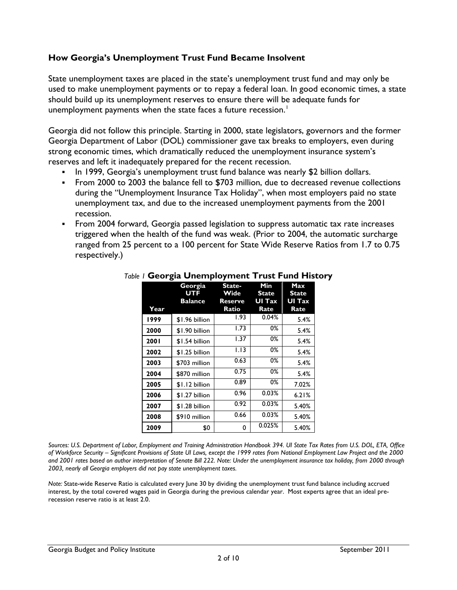## **How Georgia's Unemployment Trust Fund Became Insolvent**

State unemployment taxes are placed in the state's unemployment trust fund and may only be used to make unemployment payments or to repay a federal loan. In good economic times, a state should build up its unemployment reserves to ensure there will be adequate funds for unemployment payments when the state faces a future recession. $^1$  $^1$ 

Georgia did not follow this principle. Starting in 2000, state legislators, governors and the former Georgia Department of Labor (DOL) commissioner gave tax breaks to employers, even during strong economic times, which dramatically reduced the unemployment insurance system's reserves and left it inadequately prepared for the recent recession.

- In 1999, Georgia's unemployment trust fund balance was nearly \$2 billion dollars.
- From 2000 to 2003 the balance fell to \$703 million, due to decreased revenue collections during the "Unemployment Insurance Tax Holiday", when most employers paid no state unemployment tax, and due to the increased unemployment payments from the 2001 recession.
- From 2004 forward, Georgia passed legislation to suppress automatic tax rate increases triggered when the health of the fund was weak. (Prior to 2004, the automatic surcharge ranged from 25 percent to a 100 percent for State Wide Reserve Ratios from 1.7 to 0.75 respectively.)

|      | Georgia<br><b>UTF</b><br>Balance | State-<br>Wide<br>Reserve | Min<br><b>State</b><br>UI Tax | Max<br><b>State</b><br>UI Tax |
|------|----------------------------------|---------------------------|-------------------------------|-------------------------------|
| Year |                                  | Ratio                     | Rate                          | Rate                          |
| 1999 | \$1.96 billion                   | 1.93                      | 0.04%                         | 5.4%                          |
| 2000 | \$1.90 billion                   | 1.73                      | 0%                            | 5.4%                          |
| 2001 | \$1.54 billion                   | 1.37                      | 0%                            | 5.4%                          |
| 2002 | \$1.25 billion                   | 1.13                      | 0%                            | 5.4%                          |
| 2003 | \$703 million                    | 0.63                      | 0%                            | 5.4%                          |
| 2004 | \$870 million                    | 0.75                      | 0%                            | 5.4%                          |
| 2005 | \$1.12 billion                   | 0.89                      | 0%                            | 7.02%                         |
| 2006 | \$1.27 billion                   | 0.96                      | $0.03\%$                      | 6.21%                         |
| 2007 | \$1.28 billion                   | 0.92                      | $0.03\%$                      | 5.40%                         |
| 2008 | \$910 million                    | 0.66                      | $0.03\%$                      | 5.40%                         |
| 2009 | \$0                              | 0                         | 0.025%                        | 5.40%                         |

#### *Table 1* **Georgia Unemployment Trust Fund History**

*Sources: U.S. Department of Labor, Employment and Training Administration Handbook 394. UI State Tax Rates from U.S. DOL, ETA, Office of Workforce Security – Significant Provisions of State UI Laws, except the 1999 rates from National Employment Law Project and the 2000 and 2001 rates based on author interpretation of Senate Bill 222. Note: Under the unemployment insurance tax holiday, from 2000 through 2003, nearly all Georgia employers did not pay state unemployment taxes.*

*Note:* State-wide Reserve Ratio is calculated every June 30 by dividing the unemployment trust fund balance including accrued interest, by the total covered wages paid in Georgia during the previous calendar year. Most experts agree that an ideal prerecession reserve ratio is at least 2.0.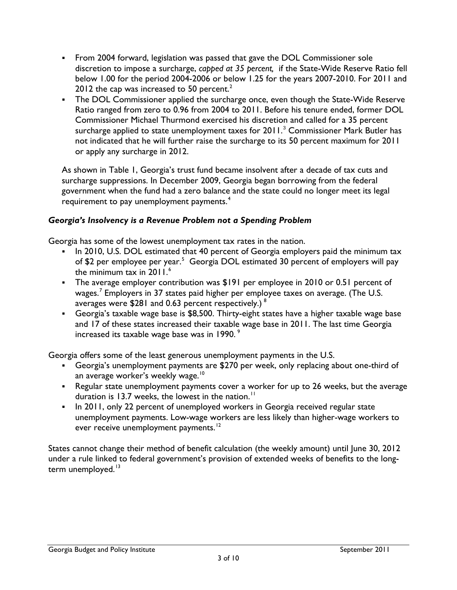- From 2004 forward, legislation was passed that gave the DOL Commissioner sole discretion to impose a surcharge, *capped at 35 percent,* if the State-Wide Reserve Ratio fell below 1.00 for the period 2004-2006 or below 1.25 for the years 2007-2010. For 2011 and [2](#page-8-1)012 the cap was increased to 50 percent.<sup>2</sup>
- The DOL Commissioner applied the surcharge once, even though the State-Wide Reserve Ratio ranged from zero to 0.96 from 2004 to 2011. Before his tenure ended, former DOL Commissioner Michael Thurmond exercised his discretion and called for a 35 percent surcharge applied to state unemployment taxes for 2011.<sup>[3](#page-8-2)</sup> Commissioner Mark Butler has not indicated that he will further raise the surcharge to its 50 percent maximum for 2011 or apply any surcharge in 2012.

As shown in Table 1, Georgia's trust fund became insolvent after a decade of tax cuts and surcharge suppressions. In December 2009, Georgia began borrowing from the federal government when the fund had a zero balance and the state could no longer meet its legal requirement to pay unemployment payments.<sup>[4](#page-8-3)</sup>

#### *Georgia's Insolvency is a Revenue Problem not a Spending Problem*

Georgia has some of the lowest unemployment tax rates in the nation.

- In 2010, U.S. DOL estimated that 40 percent of Georgia employers paid the minimum tax of \$2 per employee per year.<sup>[5](#page-8-4)</sup> Georgia DOL estimated 30 percent of employers will pay the minimum tax in  $2011<sup>6</sup>$  $2011<sup>6</sup>$  $2011<sup>6</sup>$
- The average employer contribution was \$191 per employee in 2010 or 0.51 percent of wages.<sup>[7](#page-8-6)</sup> Employers in 37 states paid higher per employee taxes on average. (The U.S. averages were \$281 and 0.63 percent respectively.) [8](#page-8-7)
- Georgia's taxable wage base is \$8,500. Thirty-eight states have a higher taxable wage base and 17 of these states increased their taxable wage base in 2011. The last time Georgia increased its taxable wage base was in 1990. [9](#page-8-8)

Georgia offers some of the least generous unemployment payments in the U.S.

- Georgia's unemployment payments are \$270 per week, only replacing about one-third of an average worker's weekly wage.<sup>[10](#page-8-9)</sup>
- Regular state unemployment payments cover a worker for up to 26 weeks, but the average duration is 13.7 weeks, the lowest in the nation.<sup>[11](#page-8-10)</sup>
- In 2011, only 22 percent of unemployed workers in Georgia received regular state unemployment payments. Low-wage workers are less likely than higher-wage workers to ever receive unemployment payments.<sup>[12](#page-8-11)</sup>

States cannot change their method of benefit calculation (the weekly amount) until June 30, 2012 under a rule linked to federal government's provision of extended weeks of benefits to the long-term unemployed.<sup>[13](#page-8-12)</sup>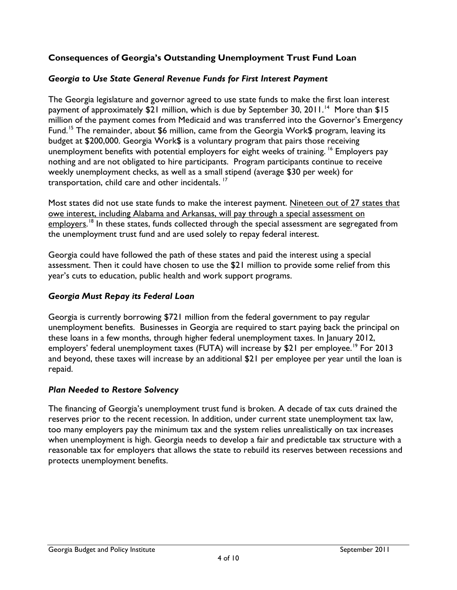# **Consequences of Georgia's Outstanding Unemployment Trust Fund Loan**

## *Georgia to Use State General Revenue Funds for First Interest Payment*

The Georgia legislature and governor agreed to use state funds to make the first loan interest payment of approximately \$21 million, which is due by September 30, 2011.<sup>[14](#page-8-13)</sup> More than \$15 million of the payment comes from Medicaid and was transferred into the Governor's Emergency Fund.<sup>[15](#page-8-14)</sup> The remainder, about \$6 million, came from the Georgia Work\$ program, leaving its budget at \$200,000. Georgia Work\$ is a voluntary program that pairs those receiving unemployment benefits with potential employers for eight weeks of training. <sup>[16](#page-8-15)</sup> Employers pay nothing and are not obligated to hire participants. Program participants continue to receive weekly unemployment checks, as well as a small stipend (average \$30 per week) for transportation, child care and other incidentals.<sup>[17](#page-8-16)</sup>

Most states did not use state funds to make the interest payment. Nineteen out of 27 states that owe interest, including Alabama and Arkansas, will pay through a special assessment on employers.<sup>[18](#page-8-17)</sup> In these states, funds collected through the special assessment are segregated from the unemployment trust fund and are used solely to repay federal interest.

Georgia could have followed the path of these states and paid the interest using a special assessment. Then it could have chosen to use the \$21 million to provide some relief from this year's cuts to education, public health and work support programs.

## *Georgia Must Repay its Federal Loan*

Georgia is currently borrowing \$721 million from the federal government to pay regular unemployment benefits. Businesses in Georgia are required to start paying back the principal on these loans in a few months, through higher federal unemployment taxes. In January 2012, employers' federal unemployment taxes (FUTA) will increase by \$21 per employee.<sup>[19](#page-8-18)</sup> For 2013 and beyond, these taxes will increase by an additional \$21 per employee per year until the loan is repaid.

## *Plan Needed to Restore Solvency*

The financing of Georgia's unemployment trust fund is broken. A decade of tax cuts drained the reserves prior to the recent recession. In addition, under current state unemployment tax law, too many employers pay the minimum tax and the system relies unrealistically on tax increases when unemployment is high. Georgia needs to develop a fair and predictable tax structure with a reasonable tax for employers that allows the state to rebuild its reserves between recessions and protects unemployment benefits.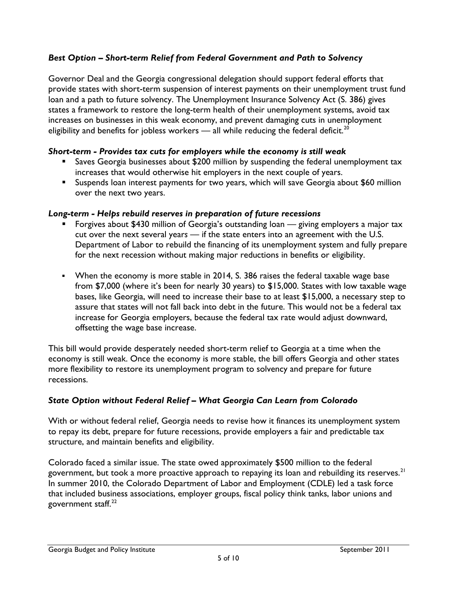# *Best Option – Short-term Relief from Federal Government and Path to Solvency*

Governor Deal and the Georgia congressional delegation should support federal efforts that provide states with short-term suspension of interest payments on their unemployment trust fund loan and a path to future solvency. The Unemployment Insurance Solvency Act (S. 386) gives states a framework to restore the long-term health of their unemployment systems, avoid tax increases on businesses in this weak economy, and prevent damaging cuts in unemployment eligibility and benefits for jobless workers — all while reducing the federal deficit.<sup>[20](#page-8-19)</sup>

## *Short-term - Provides tax cuts for employers while the economy is still weak*

- **Saves Georgia businesses about \$200 million by suspending the federal unemployment tax** increases that would otherwise hit employers in the next couple of years.
- Suspends loan interest payments for two years, which will save Georgia about \$60 million over the next two years.

#### *Long-term - Helps rebuild reserves in preparation of future recessions*

- Forgives about \$430 million of Georgia's outstanding loan giving employers a major tax cut over the next several year*s* — if the state enters into an agreement with the U.S. Department of Labor to rebuild the financing of its unemployment system and fully prepare for the next recession without making major reductions in benefits or eligibility.
- When the economy is more stable in 2014, S. 386 raises the federal taxable wage base from \$7,000 (where it's been for nearly 30 years) to \$15,000. States with low taxable wage bases, like Georgia, will need to increase their base to at least \$15,000, a necessary step to assure that states will not fall back into debt in the future. This would not be a federal tax increase for Georgia employers, because the federal tax rate would adjust downward, offsetting the wage base increase.

This bill would provide desperately needed short-term relief to Georgia at a time when the economy is still weak. Once the economy is more stable, the bill offers Georgia and other states more flexibility to restore its unemployment program to solvency and prepare for future recessions.

## *State Option without Federal Relief – What Georgia Can Learn from Colorado*

With or without federal relief, Georgia needs to revise how it finances its unemployment system to repay its debt, prepare for future recessions, provide employers a fair and predictable tax structure, and maintain benefits and eligibility.

Colorado faced a similar issue. The state owed approximately \$500 million to the federal government, but took a more proactive approach to repaying its loan and rebuilding its reserves. $^{\mathsf{21}}$  $^{\mathsf{21}}$  $^{\mathsf{21}}$ In summer 2010, the Colorado Department of Labor and Employment (CDLE) led a task force that included business associations, employer groups, fiscal policy think tanks, labor unions and government staff.<sup>[22](#page-9-1)</sup>

#### Georgia Budget and Policy Institute September 2011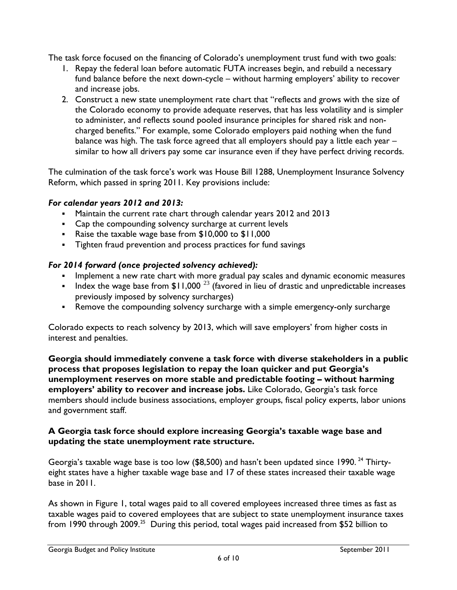The task force focused on the financing of Colorado's unemployment trust fund with two goals:

- 1. Repay the federal loan before automatic FUTA increases begin, and rebuild a necessary fund balance before the next down-cycle – without harming employers' ability to recover and increase jobs.
- 2. Construct a new state unemployment rate chart that "reflects and grows with the size of the Colorado economy to provide adequate reserves, that has less volatility and is simpler to administer, and reflects sound pooled insurance principles for shared risk and noncharged benefits." For example, some Colorado employers paid nothing when the fund balance was high. The task force agreed that all employers should pay a little each year similar to how all drivers pay some car insurance even if they have perfect driving records.

The culmination of the task force's work was House Bill 1288, Unemployment Insurance Solvency Reform, which passed in spring 2011. Key provisions include:

## *For calendar years 2012 and 2013:*

- Maintain the current rate chart through calendar years 2012 and 2013
- Cap the compounding solvency surcharge at current levels
- Raise the taxable wage base from \$10,000 to \$11,000
- Tighten fraud prevention and process practices for fund savings

# *For 2014 forward (once projected solvency achieved):*

- **Implement a new rate chart with more gradual pay scales and dynamic economic measures**
- Index the wage base from \$11,000  $^{23}$  $^{23}$  $^{23}$  (favored in lieu of drastic and unpredictable increases previously imposed by solvency surcharges)
- Remove the compounding solvency surcharge with a simple emergency-only surcharge

Colorado expects to reach solvency by 2013, which will save employers' from higher costs in interest and penalties.

**Georgia should immediately convene a task force with diverse stakeholders in a public process that proposes legislation to repay the loan quicker and put Georgia's unemployment reserves on more stable and predictable footing – without harming employers' ability to recover and increase jobs.** Like Colorado, Georgia's task force members should include business associations, employer groups, fiscal policy experts, labor unions and government staff.

#### **A Georgia task force should explore increasing Georgia's taxable wage base and updating the state unemployment rate structure.**

Georgia's taxable wage base is too low ( $$8,500$ ) and hasn't been updated since 1990.<sup>[24](#page-9-3)</sup> Thirtyeight states have a higher taxable wage base and 17 of these states increased their taxable wage base in 2011.

As shown in Figure 1, total wages paid to all covered employees increased three times as fast as taxable wages paid to covered employees that are subject to state unemployment insurance taxes from 1990 through 2009.<sup>[25](#page-9-4)</sup> During this period, total wages paid increased from \$52 billion to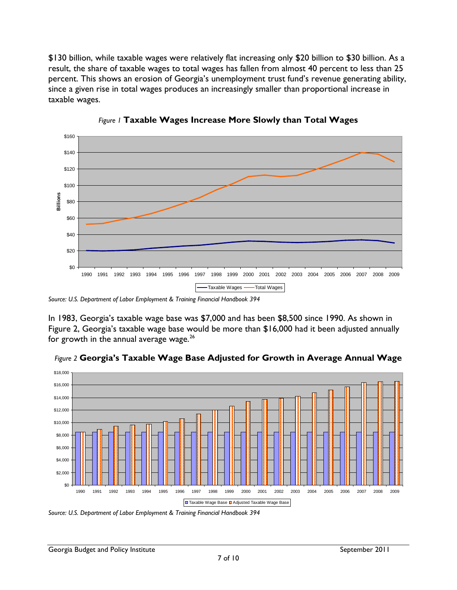\$130 billion, while taxable wages were relatively flat increasing only \$20 billion to \$30 billion. As a result, the share of taxable wages to total wages has fallen from almost 40 percent to less than 25 percent. This shows an erosion of Georgia's unemployment trust fund's revenue generating ability, since a given rise in total wages produces an increasingly smaller than proportional increase in taxable wages.





*Source: U.S. Department of Labor Employment & Training Financial Handbook 394*

In 1983, Georgia's taxable wage base was \$7,000 and has been \$8,500 since 1990. As shown in Figure 2, Georgia's taxable wage base would be more than \$16,000 had it been adjusted annually for growth in the annual average wage. $^{26}$  $^{26}$  $^{26}$ 



*Figure 2* **Georgia's Taxable Wage Base Adjusted for Growth in Average Annual Wage**

*Source: U.S. Department of Labor Employment & Training Financial Handbook 394*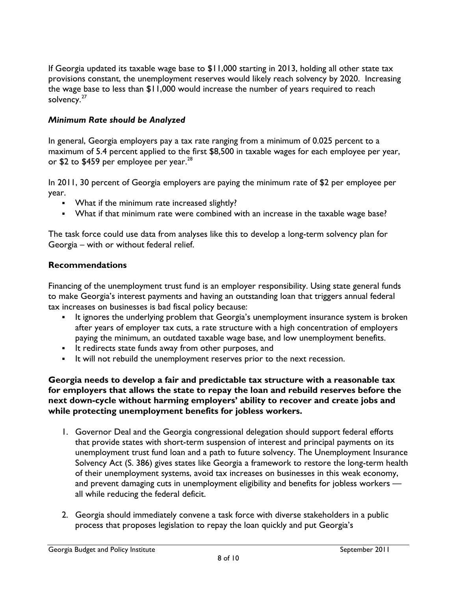If Georgia updated its taxable wage base to \$11,000 starting in 2013, holding all other state tax provisions constant, the unemployment reserves would likely reach solvency by 2020. Increasing the wage base to less than \$11,000 would increase the number of years required to reach solvency.<sup>[27](#page-9-6)</sup>

# *Minimum Rate should be Analyzed*

In general, Georgia employers pay a tax rate ranging from a minimum of 0.025 percent to a maximum of 5.4 percent applied to the first \$8,500 in taxable wages for each employee per year, or \$2 to \$459 per employee per year. $^{28}$  $^{28}$  $^{28}$ 

In 2011, 30 percent of Georgia employers are paying the minimum rate of \$2 per employee per year.

- **What if the minimum rate increased slightly?**
- What if that minimum rate were combined with an increase in the taxable wage base?

The task force could use data from analyses like this to develop a long-term solvency plan for Georgia – with or without federal relief.

#### **Recommendations**

Financing of the unemployment trust fund is an employer responsibility. Using state general funds to make Georgia's interest payments and having an outstanding loan that triggers annual federal tax increases on businesses is bad fiscal policy because:

- It ignores the underlying problem that Georgia's unemployment insurance system is broken after years of employer tax cuts, a rate structure with a high concentration of employers paying the minimum, an outdated taxable wage base, and low unemployment benefits.
- It redirects state funds away from other purposes, and
- It will not rebuild the unemployment reserves prior to the next recession.

**Georgia needs to develop a fair and predictable tax structure with a reasonable tax for employers that allows the state to repay the loan and rebuild reserves before the next down-cycle without harming employers' ability to recover and create jobs and while protecting unemployment benefits for jobless workers.**

- 1. Governor Deal and the Georgia congressional delegation should support federal efforts that provide states with short-term suspension of interest and principal payments on its unemployment trust fund loan and a path to future solvency. The Unemployment Insurance Solvency Act (S. 386) gives states like Georgia a framework to restore the long-term health of their unemployment systems, avoid tax increases on businesses in this weak economy, and prevent damaging cuts in unemployment eligibility and benefits for jobless workers all while reducing the federal deficit.
- 2. Georgia should immediately convene a task force with diverse stakeholders in a public process that proposes legislation to repay the loan quickly and put Georgia's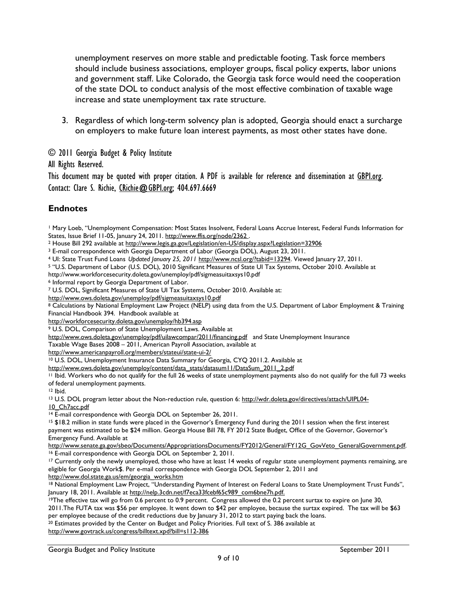unemployment reserves on more stable and predictable footing. Task force members should include business associations, employer groups, fiscal policy experts, labor unions and government staff. Like Colorado, the Georgia task force would need the cooperation of the state DOL to conduct analysis of the most effective combination of taxable wage increase and state unemployment tax rate structure.

3. Regardless of which long-term solvency plan is adopted, Georgia should enact a surcharge on employers to make future loan interest payments, as most other states have done.

© 2011 Georgia Budget & Policy Institute

All Rights Reserved.

This document may be quoted with proper citation. A PDF is available for reference and dissemination at [GBPI.org.](http://gbpi.org/) Contact: Clare S. Richie, [CRichie@GBPI.org;](mailto:CRichie@GBPI.org) 404.697.6669

# **Endnotes**

<span id="page-8-0"></span><sup>1</sup> Mary Loeb, "Unemployment Compensation: Most States Insolvent, Federal Loans Accrue Interest, Federal Funds Information for States, Issue Brief 11-05, January 24, 2011. http://www.ffis.org/node/2362.

<span id="page-8-1"></span><sup>2</sup> House Bill 292 available at<http://www.legis.ga.gov/Legislation/en-US/display.aspx?Legislation=32906>

<span id="page-8-2"></span><sup>3</sup> E-mail correspondence with Georgia Department of Labor (Georgia DOL), August 23, 2011.

<span id="page-8-3"></span><sup>4</sup> UI: State Trust Fund Loans *Updated January 25, 2011* [http://www.ncsl.org/?tabid=13294.](http://www.ncsl.org/?tabid=13294) Viewed January 27, 2011.

<span id="page-8-4"></span><sup>5</sup> "U.S. Department of Labor (U.S. DOL), 2010 Significant Measures of State UI Tax Systems, October 2010. Available at

http://www.workforcesecurity.doleta.gov/unemploy/pdf/sigmeasuitaxsys10.pdf

<span id="page-8-5"></span><sup>6</sup> Informal report by Georgia Department of Labor.

<span id="page-8-6"></span><sup>7</sup> U.S. DOL, Significant Measures of State UI Tax Systems, October 2010. Available at:

<http://www.ows.doleta.gov/unemploy/pdf/sigmeasuitaxsys10.pdf>

<span id="page-8-7"></span>8 Calculations by National Employment Law Project (NELP) using data from the U.S. Department of Labor Employment & Training Financial Handbook 394. Handbook available at

<http://workforcesecurity.doleta.gov/unemploy/hb394.asp>

<span id="page-8-8"></span><sup>9</sup> U.S. DOL, Comparison of State Unemployment Laws. Available at

<http://www.ows.doleta.gov/unemploy/pdf/uilawcompar/2011/financing.pdf> and State Unemployment Insurance

Taxable Wage Bases 2008 – 2011, American Payroll Association, available at

http://www.americanpayroll.org/members/stateui/state-ui-2/<br><sup>10</sup> U.S. DOL, Unemployment Insurance Data Summary for Georgia, CYQ 2011.2. Available at

<span id="page-8-9"></span>[http://www.ows.doleta.gov/unemploy/content/data\\_stats/datasum11/DataSum\\_2011\\_2.pdf](http://www.ows.doleta.gov/unemploy/content/data_stats/datasum11/DataSum_2011_2.pdf)

<span id="page-8-10"></span><sup>11</sup> Ibid. Workers who do not qualify for the full 26 weeks of state unemployment payments also do not qualify for the full 73 weeks of federal unemployment payments.

<span id="page-8-12"></span><span id="page-8-11"></span> $12$  Ibid.<br>13 U.S. DOL program letter about the Non-reduction rule, question 6: [http://wdr.doleta.gov/directives/attach/UIPL04-](http://wdr.doleta.gov/directives/attach/UIPL04-10_Ch7acc.pdf)

[10\\_Ch7acc.pdf](http://wdr.doleta.gov/directives/attach/UIPL04-10_Ch7acc.pdf)<br><sup>14</sup> E-mail correspondence with Georgia DOL on September 26, 2011.

<span id="page-8-14"></span><span id="page-8-13"></span><sup>15</sup> \$18.2 million in state funds were placed in the Governor's Emergency Fund during the 2011 session when the first interest payment was estimated to be \$24 million. Georgia House Bill 78, FY 2012 State Budget, Office of the Governor, Governor's Emergency Fund. Available at

[http://www.senate.ga.gov/sbeo/Documents/AppropriationsDocuments/FY2012/General/FY12G\\_GovVeto\\_GeneralGovernment.pdf.](http://www.senate.ga.gov/sbeo/Documents/AppropriationsDocuments/FY2012/General/FY12G_GovVeto_GeneralGovernment.pdf)<br><sup>16</sup> E-mail correspondence with Georgia DOL on September 2, 2011.<br><sup>17</sup> Currently only the newly unemployed

<span id="page-8-16"></span><span id="page-8-15"></span>eligible for Georgia Work\$. Per e-mail correspondence with Georgia DOL September 2, 2011 and http://www.dol.state.ga.us/em/georgia\_works.htm

<span id="page-8-17"></span><sup>18</sup> National Employment Law Project, "Understanding Payment of Interest on Federal Loans to State Unemployment Trust Funds", January 18, 2011. Available at [http://nelp.3cdn.net/f7eca33fcebf65c989\\_com6bne7h.pdf.](http://nelp.3cdn.net/f7eca33fcebf65c989_com6bne7h.pdf.)

<span id="page-8-18"></span><sup>19</sup>The effective tax will go from 0.6 percent to 0.9 percent. Congress allowed the 0.2 percent surtax to expire on June 30,

2011.The FUTA tax was \$56 per employee. It went down to \$42 per employee, because the surtax expired. The tax will be \$63 per employee because of the credit reductions due by January 31, 2012 to start paying back the loans.

<span id="page-8-19"></span> $20$  Estimates provided by the Center on Budget and Policy Priorities. Full text of S. 386 available at

<http://www.govtrack.us/congress/billtext.xpd?bill=s112-386>